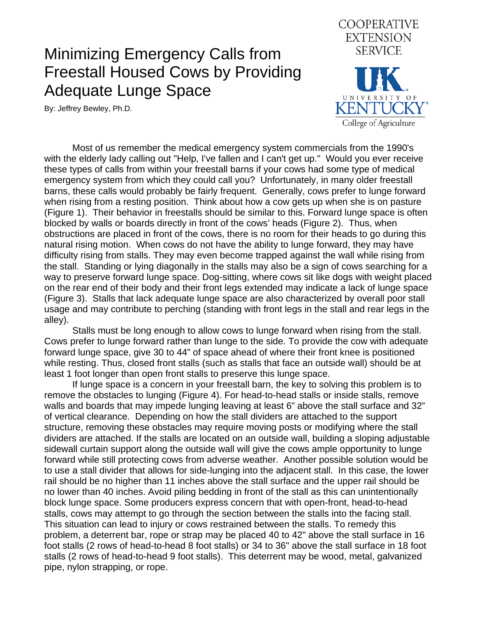## Minimizing Emergency Calls from Freestall Housed Cows by Providing Adequate Lunge Space

By: Jeffrey Bewley, Ph.D.



 Most of us remember the medical emergency system commercials from the 1990's with the elderly lady calling out "Help, I've fallen and I can't get up." Would you ever receive these types of calls from within your freestall barns if your cows had some type of medical emergency system from which they could call you? Unfortunately, in many older freestall barns, these calls would probably be fairly frequent. Generally, cows prefer to lunge forward when rising from a resting position. Think about how a cow gets up when she is on pasture (Figure 1). Their behavior in freestalls should be similar to this. Forward lunge space is often blocked by walls or boards directly in front of the cows' heads (Figure 2). Thus, when obstructions are placed in front of the cows, there is no room for their heads to go during this natural rising motion. When cows do not have the ability to lunge forward, they may have difficulty rising from stalls. They may even become trapped against the wall while rising from the stall. Standing or lying diagonally in the stalls may also be a sign of cows searching for a way to preserve forward lunge space. Dog-sitting, where cows sit like dogs with weight placed on the rear end of their body and their front legs extended may indicate a lack of lunge space (Figure 3). Stalls that lack adequate lunge space are also characterized by overall poor stall usage and may contribute to perching (standing with front legs in the stall and rear legs in the alley).

 Stalls must be long enough to allow cows to lunge forward when rising from the stall. Cows prefer to lunge forward rather than lunge to the side. To provide the cow with adequate forward lunge space, give 30 to 44" of space ahead of where their front knee is positioned while resting. Thus, closed front stalls (such as stalls that face an outside wall) should be at least 1 foot longer than open front stalls to preserve this lunge space.

 If lunge space is a concern in your freestall barn, the key to solving this problem is to remove the obstacles to lunging (Figure 4). For head-to-head stalls or inside stalls, remove walls and boards that may impede lunging leaving at least 6" above the stall surface and 32" of vertical clearance. Depending on how the stall dividers are attached to the support structure, removing these obstacles may require moving posts or modifying where the stall dividers are attached. If the stalls are located on an outside wall, building a sloping adjustable sidewall curtain support along the outside wall will give the cows ample opportunity to lunge forward while still protecting cows from adverse weather. Another possible solution would be to use a stall divider that allows for side-lunging into the adjacent stall. In this case, the lower rail should be no higher than 11 inches above the stall surface and the upper rail should be no lower than 40 inches. Avoid piling bedding in front of the stall as this can unintentionally block lunge space. Some producers express concern that with open-front, head-to-head stalls, cows may attempt to go through the section between the stalls into the facing stall. This situation can lead to injury or cows restrained between the stalls. To remedy this problem, a deterrent bar, rope or strap may be placed 40 to 42" above the stall surface in 16 foot stalls (2 rows of head-to-head 8 foot stalls) or 34 to 36" above the stall surface in 18 foot stalls (2 rows of head-to-head 9 foot stalls). This deterrent may be wood, metal, galvanized pipe, nylon strapping, or rope.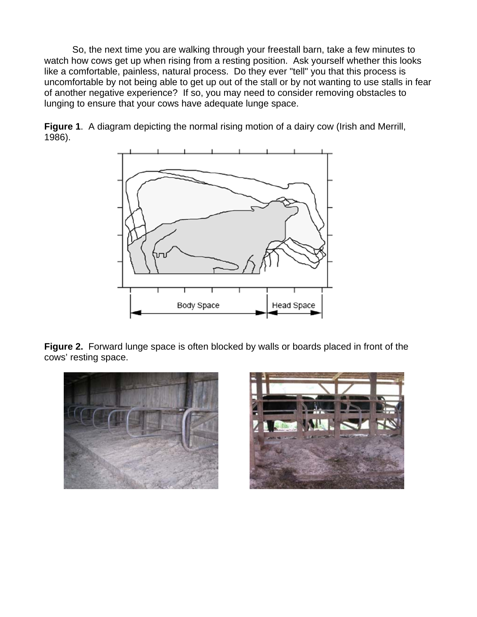So, the next time you are walking through your freestall barn, take a few minutes to watch how cows get up when rising from a resting position. Ask yourself whether this looks like a comfortable, painless, natural process. Do they ever "tell" you that this process is uncomfortable by not being able to get up out of the stall or by not wanting to use stalls in fear of another negative experience? If so, you may need to consider removing obstacles to lunging to ensure that your cows have adequate lunge space.



**Figure 1**. A diagram depicting the normal rising motion of a dairy cow (Irish and Merrill, 1986).

**Figure 2.** Forward lunge space is often blocked by walls or boards placed in front of the cows' resting space.